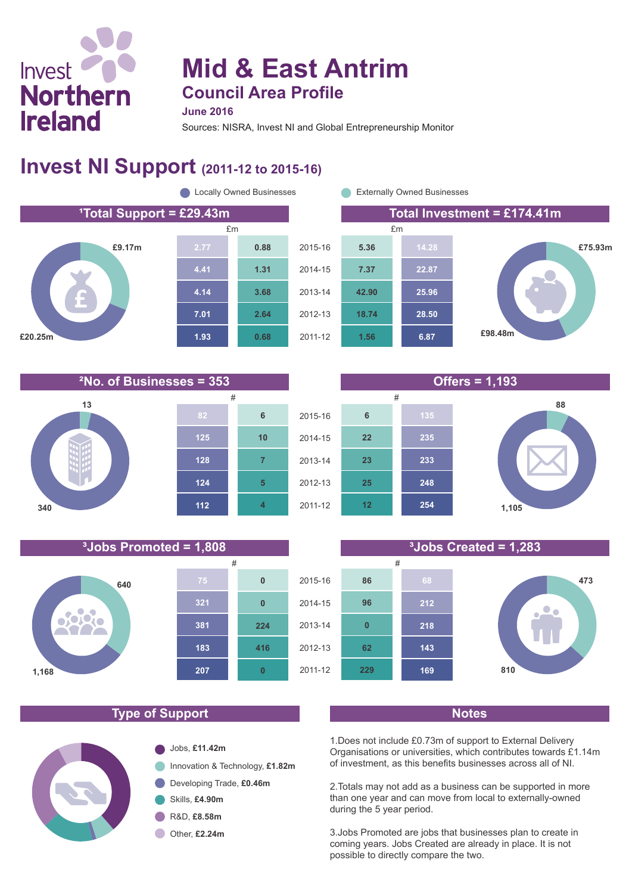# Invest **Northern Ireland**

# **Mid & East Antrim Council Area Profile**

**June 2016**

Sources: NISRA, Invest NI and Global Entrepreneurship Monitor

### **Invest NI Support (2011-12 to 2015-16)**





**13 340 124 128 125 4 5 7 10 6 112**







#### **Type of Support Notes**

**183**

**207**

**0**

**416**

**224**

**0**

**0**

**381**

**321**

**640**

**1,168**

**800** 

**TC**  $\gamma$ 



1.Does not include £0.73m of support to External Delivery Organisations or universities, which contributes towards £1.14m of investment, as this benefits businesses across all of NI.

2.Totals may not add as a business can be supported in more than one year and can move from local to externally-owned during the 5 year period.

3.Jobs Promoted are jobs that businesses plan to create in coming years. Jobs Created are already in place. It is not possible to directly compare the two.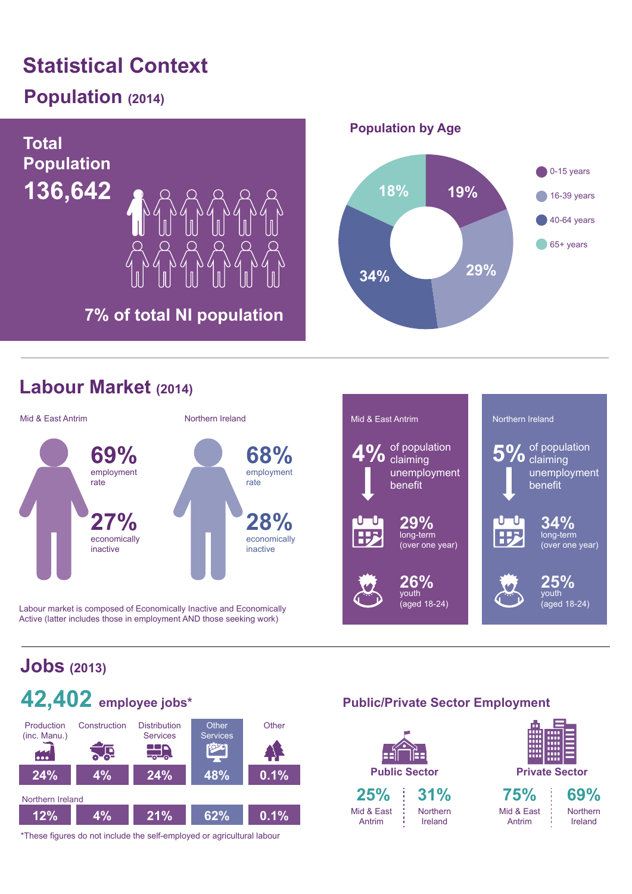# **Statistical Context**

## **Population (2014)**



#### **Labour Market (2014)**



Labour market is composed of Economically Inactive and Economically Active (latter includes those in employment AND those seeking work)



## **Jobs (2013)**



\*These figures do not include the self-employed or agricultural labour

#### **Public/Private Sector Employment**

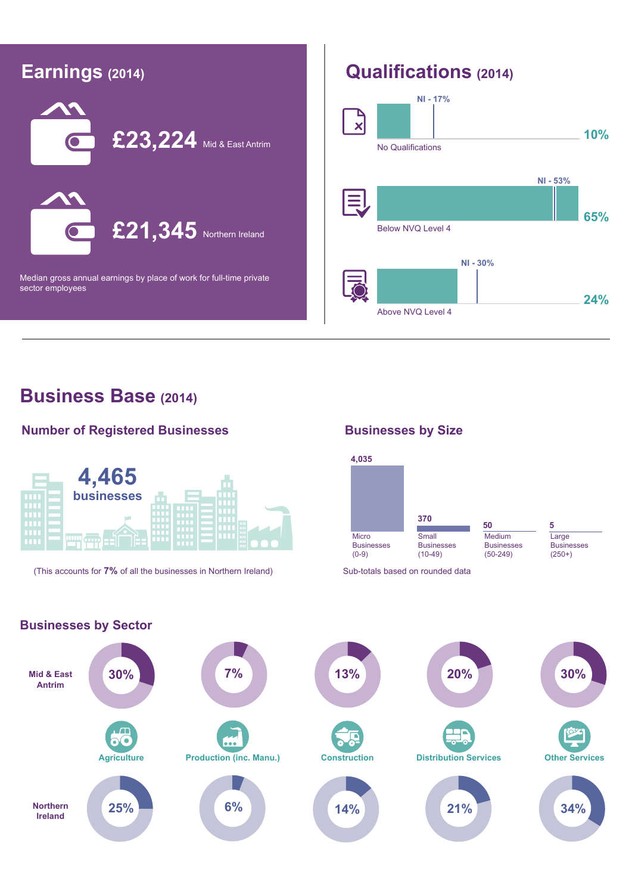

#### **Business Base (2014)**

#### **Number of Registered Businesses**



(This accounts for **7%** of all the businesses in Northern Ireland) Sub-totals based on rounded data

#### **Businesses by Size**